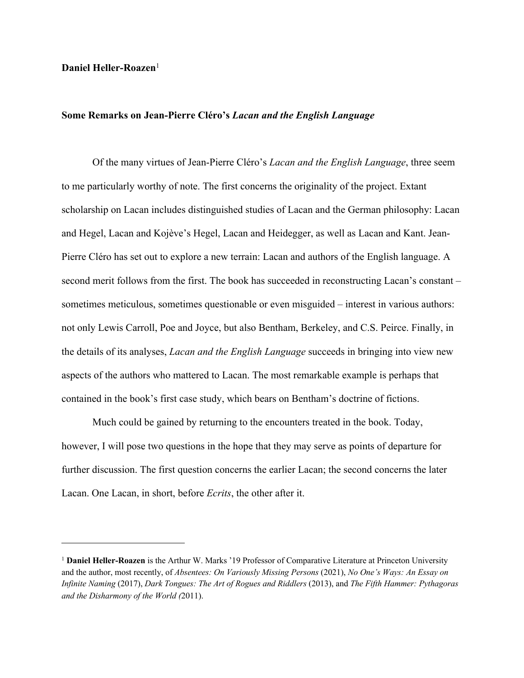## **Daniel Heller-Roazen**<sup>1</sup>

## **Some Remarks on Jean-Pierre Cléro's** *Lacan and the English Language*

Of the many virtues of Jean-Pierre Cléro's *Lacan and the English Language*, three seem to me particularly worthy of note. The first concerns the originality of the project. Extant scholarship on Lacan includes distinguished studies of Lacan and the German philosophy: Lacan and Hegel, Lacan and Kojève's Hegel, Lacan and Heidegger, as well as Lacan and Kant. Jean-Pierre Cléro has set out to explore a new terrain: Lacan and authors of the English language. A second merit follows from the first. The book has succeeded in reconstructing Lacan's constant – sometimes meticulous, sometimes questionable or even misguided – interest in various authors: not only Lewis Carroll, Poe and Joyce, but also Bentham, Berkeley, and C.S. Peirce. Finally, in the details of its analyses, *Lacan and the English Language* succeeds in bringing into view new aspects of the authors who mattered to Lacan. The most remarkable example is perhaps that contained in the book's first case study, which bears on Bentham's doctrine of fictions.

Much could be gained by returning to the encounters treated in the book. Today, however, I will pose two questions in the hope that they may serve as points of departure for further discussion. The first question concerns the earlier Lacan; the second concerns the later Lacan. One Lacan, in short, before *Ecrits*, the other after it.

<sup>1</sup> **Daniel Heller-Roazen** is the Arthur W. Marks '19 Professor of Comparative Literature at Princeton University and the author, most recently, of *Absentees: On Variously Missing Persons* (2021), *No One's Ways: An Essay on Infinite Naming* (2017), *Dark Tongues: The Art of Rogues and Riddlers* (2013), and *The Fifth Hammer: Pythagoras and the Disharmony of the World (*2011).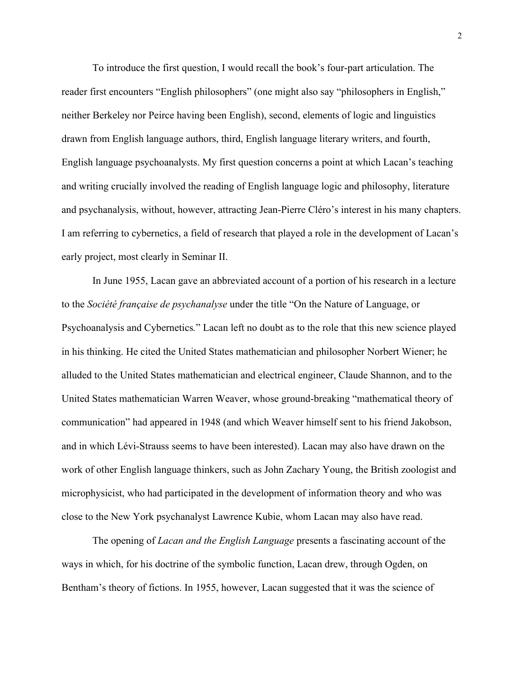To introduce the first question, I would recall the book's four-part articulation. The reader first encounters "English philosophers" (one might also say "philosophers in English," neither Berkeley nor Peirce having been English), second, elements of logic and linguistics drawn from English language authors, third, English language literary writers, and fourth, English language psychoanalysts. My first question concerns a point at which Lacan's teaching and writing crucially involved the reading of English language logic and philosophy, literature and psychanalysis, without, however, attracting Jean-Pierre Cléro's interest in his many chapters. I am referring to cybernetics, a field of research that played a role in the development of Lacan's early project, most clearly in Seminar II.

In June 1955, Lacan gave an abbreviated account of a portion of his research in a lecture to the *Société française de psychanalyse* under the title "On the Nature of Language, or Psychoanalysis and Cybernetics*.*" Lacan left no doubt as to the role that this new science played in his thinking. He cited the United States mathematician and philosopher Norbert Wiener; he alluded to the United States mathematician and electrical engineer, Claude Shannon, and to the United States mathematician Warren Weaver, whose ground-breaking "mathematical theory of communication" had appeared in 1948 (and which Weaver himself sent to his friend Jakobson, and in which Lévi-Strauss seems to have been interested). Lacan may also have drawn on the work of other English language thinkers, such as John Zachary Young, the British zoologist and microphysicist, who had participated in the development of information theory and who was close to the New York psychanalyst Lawrence Kubie, whom Lacan may also have read.

The opening of *Lacan and the English Language* presents a fascinating account of the ways in which, for his doctrine of the symbolic function, Lacan drew, through Ogden, on Bentham's theory of fictions. In 1955, however, Lacan suggested that it was the science of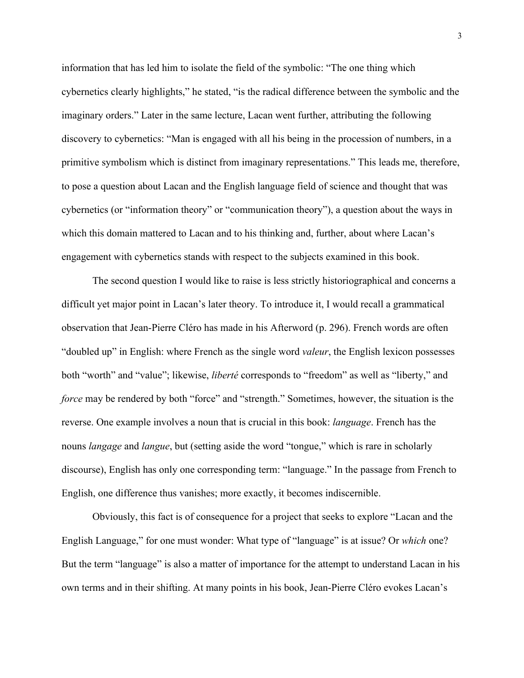information that has led him to isolate the field of the symbolic: "The one thing which cybernetics clearly highlights," he stated, "is the radical difference between the symbolic and the imaginary orders." Later in the same lecture, Lacan went further, attributing the following discovery to cybernetics: "Man is engaged with all his being in the procession of numbers, in a primitive symbolism which is distinct from imaginary representations." This leads me, therefore, to pose a question about Lacan and the English language field of science and thought that was cybernetics (or "information theory" or "communication theory"), a question about the ways in which this domain mattered to Lacan and to his thinking and, further, about where Lacan's engagement with cybernetics stands with respect to the subjects examined in this book.

The second question I would like to raise is less strictly historiographical and concerns a difficult yet major point in Lacan's later theory. To introduce it, I would recall a grammatical observation that Jean-Pierre Cléro has made in his Afterword (p. 296). French words are often "doubled up" in English: where French as the single word *valeur*, the English lexicon possesses both "worth" and "value"; likewise, *liberté* corresponds to "freedom" as well as "liberty," and *force* may be rendered by both "force" and "strength." Sometimes, however, the situation is the reverse. One example involves a noun that is crucial in this book: *language*. French has the nouns *langage* and *langue*, but (setting aside the word "tongue," which is rare in scholarly discourse), English has only one corresponding term: "language." In the passage from French to English, one difference thus vanishes; more exactly, it becomes indiscernible.

Obviously, this fact is of consequence for a project that seeks to explore "Lacan and the English Language," for one must wonder: What type of "language" is at issue? Or *which* one? But the term "language" is also a matter of importance for the attempt to understand Lacan in his own terms and in their shifting. At many points in his book, Jean-Pierre Cléro evokes Lacan's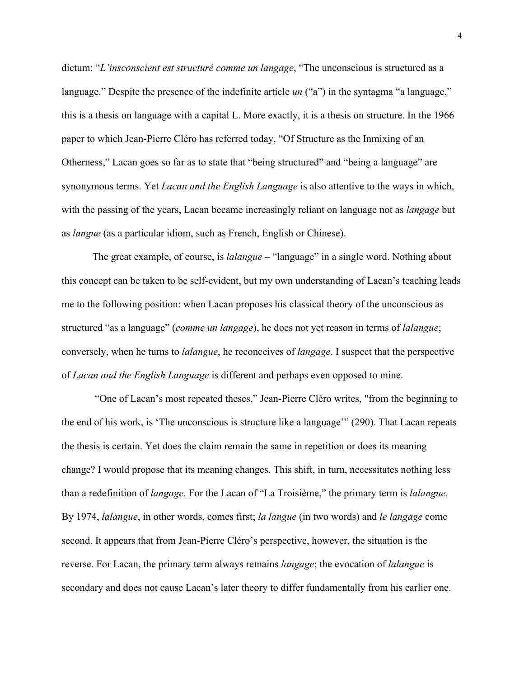dictum: "*L'insconscient est structuré comme un langage*, "The unconscious is structured as a language." Despite the presence of the indefinite article *un* ("a") in the syntagma "a language," this is a thesis on language with a capital L. More exactly, it is a thesis on structure. In the 1966 paper to which Jean-Pierre Cléro has referred today, "Of Structure as the Inmixing of an Otherness," Lacan goes so far as to state that "being structured" and "being a language" are synonymous terms. Yet *Lacan and the English Language* is also attentive to the ways in which, with the passing of the years, Lacan became increasingly reliant on language not as *langage* but as *langue* (as a particular idiom, such as French, English or Chinese).

The great example, of course, is *lalangue* – "language" in a single word. Nothing about this concept can be taken to be self-evident, but my own understanding of Lacan's teaching leads me to the following position: when Lacan proposes his classical theory of the unconscious as structured "as a language" (*comme un langage*), he does not yet reason in terms of *lalangue*; conversely, when he turns to *lalangue*, he reconceives of *langage*. I suspect that the perspective of *Lacan and the English Language* is different and perhaps even opposed to mine.

"One of Lacan's most repeated theses," Jean-Pierre Cléro writes, "from the beginning to the end of his work, is 'The unconscious is structure like a language'" (290). That Lacan repeats the thesis is certain. Yet does the claim remain the same in repetition or does its meaning change? I would propose that its meaning changes. This shift, in turn, necessitates nothing less than a redefinition of *langage*. For the Lacan of "La Troisième," the primary term is *lalangue*. By 1974, *lalangue*, in other words, comes first; *la langue* (in two words) and *le langage* come second. It appears that from Jean-Pierre Cléro's perspective, however, the situation is the reverse. For Lacan, the primary term always remains *langage*; the evocation of *lalangue* is secondary and does not cause Lacan's later theory to differ fundamentally from his earlier one.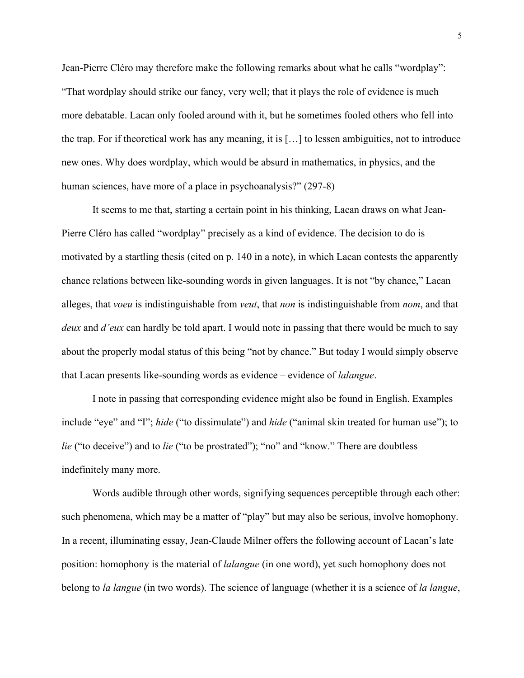Jean-Pierre Cléro may therefore make the following remarks about what he calls "wordplay": "That wordplay should strike our fancy, very well; that it plays the role of evidence is much more debatable. Lacan only fooled around with it, but he sometimes fooled others who fell into the trap. For if theoretical work has any meaning, it is […] to lessen ambiguities, not to introduce new ones. Why does wordplay, which would be absurd in mathematics, in physics, and the human sciences, have more of a place in psychoanalysis?" (297-8)

It seems to me that, starting a certain point in his thinking, Lacan draws on what Jean-Pierre Cléro has called "wordplay" precisely as a kind of evidence. The decision to do is motivated by a startling thesis (cited on p. 140 in a note), in which Lacan contests the apparently chance relations between like-sounding words in given languages. It is not "by chance," Lacan alleges, that *voeu* is indistinguishable from *veut*, that *non* is indistinguishable from *nom*, and that *deux* and *d'eux* can hardly be told apart. I would note in passing that there would be much to say about the properly modal status of this being "not by chance." But today I would simply observe that Lacan presents like-sounding words as evidence – evidence of *lalangue*.

I note in passing that corresponding evidence might also be found in English. Examples include "eye" and "I"; *hide* ("to dissimulate") and *hide* ("animal skin treated for human use"); to *lie* ("to deceive") and to *lie* ("to be prostrated"); "no" and "know." There are doubtless indefinitely many more.

Words audible through other words, signifying sequences perceptible through each other: such phenomena, which may be a matter of "play" but may also be serious, involve homophony. In a recent, illuminating essay, Jean-Claude Milner offers the following account of Lacan's late position: homophony is the material of *lalangue* (in one word), yet such homophony does not belong to *la langue* (in two words). The science of language (whether it is a science of *la langue*,